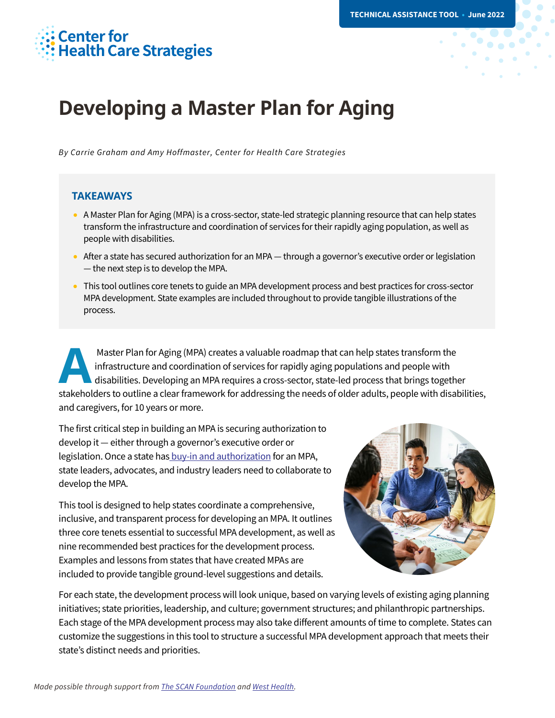# **Center for<br>Health Care Strategies**

## **Developing a Master Plan for Aging**

*By Carrie Graham and Amy Hoffmaster, Center for Health Care Strategies* 

#### **TAKEAWAYS**

- A Master Plan for Aging (MPA) is a cross-sector, state-led strategic planning resource that can help states transform the infrastructure and coordination of services for their rapidly aging population, as well as people with disabilities.
- After a state has secured authorization for an MPA through a governor's executive order or legislation — the next step is to develop the MPA.
- This tool outlines core tenets to guide an MPA development process and best practices for cross-sector MPA development. State examples are included throughout to provide tangible illustrations of the process.

Master Plan for Aging (MPA) creates a valuable roadmap that can help states transform the infrastructure and coordination of services for rapidly aging populations and people with disabilities. Developing an MPA requires a cross-sector, state-led process that brings together Master Plan for Aging (MPA) creates a valuable roadmap that can help states transform the<br>infrastructure and coordination of services for rapidly aging populations and people with<br>disabilities. Developing an MPA requires a and caregivers, for 10 years or more.

The first critical step in building an MPA is securing authorization to develop it — either through a governor's executive order or legislation. Once a state has [buy-in and authorization](https://www.chcs.org/resource/getting-started-with-a-master-plan-for-aging/) for an MPA, state leaders, advocates, and industry leaders need to collaborate to develop the MPA.

This tool is designed to help states coordinate a comprehensive, inclusive, and transparent process for developing an MPA. It outlines three core tenets essential to successful MPA development, as well as nine recommended best practices for the development process. Examples and lessons from states that have created MPAs are included to provide tangible ground-level suggestions and details.



For each state, the development process will look unique, based on varying levels of existing aging planning initiatives; state priorities, leadership, and culture; government structures; and philanthropic partnerships. Each stage of the MPA development process may also take different amounts of time to complete. States can customize the suggestions in this tool to structure a successful MPA development approach that meets their state's distinct needs and priorities.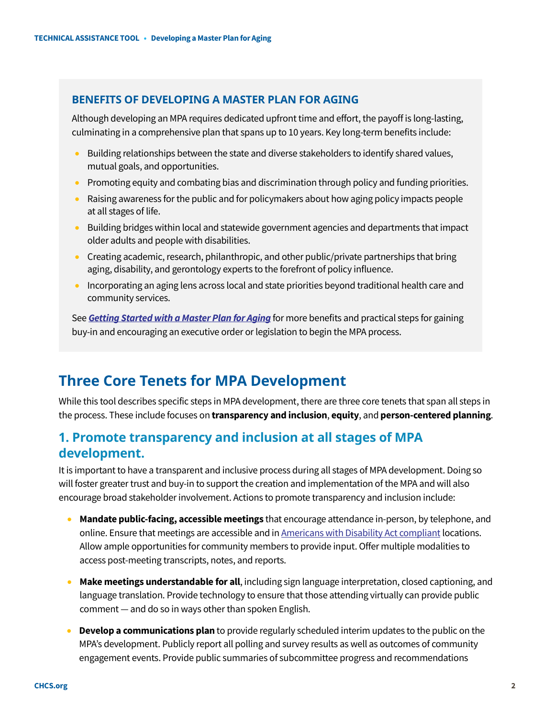### **BENEFITS OF DEVELOPING A MASTER PLAN FOR AGING**

Although developing an MPA requires dedicated upfront time and effort, the payoff is long-lasting, culminating in a comprehensive plan that spans up to 10 years. Key long-term benefits include:

- Building relationships between the state and diverse stakeholders to identify shared values, mutual goals, and opportunities.
- Promoting equity and combating bias and discrimination through policy and funding priorities.
- Raising awareness for the public and for policymakers about how aging policy impacts people at all stages of life.
- Building bridges within local and statewide government agencies and departments that impact older adults and people with disabilities.
- Creating academic, research, philanthropic, and other public/private partnerships that bring aging, disability, and gerontology experts to the forefront of policy influence.
- Incorporating an aging lens across local and state priorities beyond traditional health care and community services.

See *[Getting Started with a Master Plan for Aging](https://www.chcs.org/resource/getting-started-with-a-master-plan-for-aging/)* for more benefits and practical steps for gaining buy-in and encouraging an executive order or legislation to begin the MPA process.

### **Three Core Tenets for MPA Development**

While this tool describes specific steps in MPA development, there are three core tenets that span all steps in the process. These include focuses on **transparency and inclusion**, **equity**, and **person-centered planning**.

### **1. Promote transparency and inclusion at all stages of MPA development.**

It is important to have a transparent and inclusive process during all stages of MPA development. Doing so will foster greater trust and buy-in to support the creation and implementation of the MPA and will also encourage broad stakeholder involvement. Actions to promote transparency and inclusion include:

- **Mandate public-facing, accessible meetings** that encourage attendance in-person, by telephone, and online. Ensure that meetings are accessible and in [Americans with Disability Act compliant](https://www.access-board.gov/ada/) locations. Allow ample opportunities for community members to provide input. Offer multiple modalities to access post-meeting transcripts, notes, and reports.
- **Make meetings understandable for all**, including sign language interpretation, closed captioning, and language translation. Provide technology to ensure that those attending virtually can provide public comment — and do so in ways other than spoken English.
- **Develop a communications plan** to provide regularly scheduled interim updates to the public on the MPA's development. Publicly report all polling and survey results as well as outcomes of community engagement events. Provide public summaries of subcommittee progress and recommendations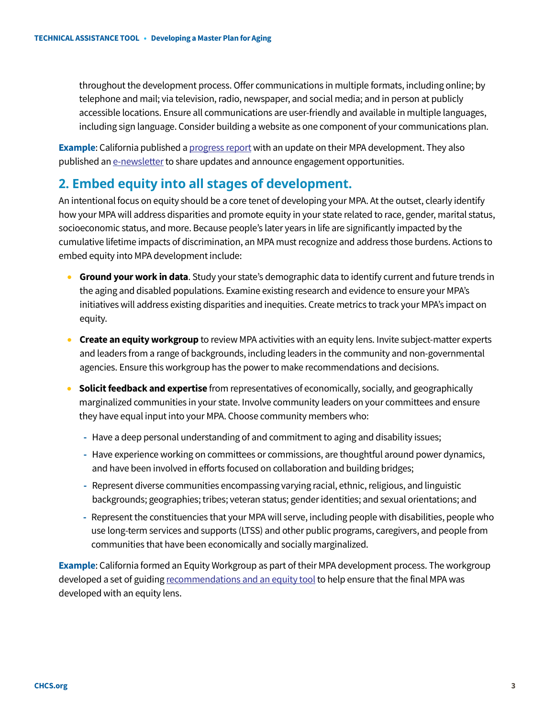throughout the development process. Offer communications in multiple formats, including online; by telephone and mail; via television, radio, newspaper, and social media; and in person at publicly accessible locations. Ensure all communications are user-friendly and available in multiple languages, including sign language. Consider building a website as one component of your communications plan.

**Example**: California published [a progress report](https://cdn-west-prod-chhs-01.dsh.ca.gov/chhs/uploads/2020/03/ProgressReport_Spring2020_Master_200304_V03.pdf) with an update on their MPA development. They also published a[n e-newsletter](https://aging.us4.list-manage.com/subscribe?id=173d0260aa&u=885fd0fb81501c74e82ac45b1) to share updates and announce engagement opportunities.

### **2. Embed equity into all stages of development.**

An intentional focus on equity should be a core tenet of developing your MPA. At the outset, clearly identify how your MPA will address disparities and promote equity in your state related to race, gender, marital status, socioeconomic status, and more. Because people's later years in life are significantly impacted by the cumulative lifetime impacts of discrimination, an MPA must recognize and address those burdens. Actions to embed equity into MPA development include:

- **Ground your work in data**. Study your state's demographic data to identify current and future trends in the aging and disabled populations. Examine existing research and evidence to ensure your MPA's initiatives will address existing disparities and inequities. Create metrics to track your MPA's impact on equity.
- **Create an equity workgroup** to review MPA activities with an equity lens. Invite subject-matter experts and leaders from a range of backgrounds, including leaders in the community and non-governmental agencies. Ensure this workgroup has the power to make recommendations and decisions.
- **Solicit feedback and expertise** from representatives of economically, socially, and geographically marginalized communities in your state. Involve community leaders on your committees and ensure they have equal input into your MPA. Choose community members who:
	- **-** Have a deep personal understanding of and commitment to aging and disability issues;
	- **-** Have experience working on committees or commissions, are thoughtful around power dynamics, and have been involved in efforts focused on collaboration and building bridges;
	- **-** Represent diverse communities encompassing varying racial, ethnic, religious, and linguistic backgrounds; geographies; tribes; veteran status; gender identities; and sexual orientations; and
	- **-** Represent the constituencies that your MPA will serve, including people with disabilities, people who use long-term services and supports (LTSS) and other public programs, caregivers, and people from communities that have been economically and socially marginalized.

**Example**: California formed an Equity Workgroup as part of their MPA development process. The workgroup developed a set of guidin[g recommendations and an equity tool](https://cdn-west-prod-chhs-01.dsh.ca.gov/chhs/uploads/2020/09/11151947/Equity-Recommendations-accessible.pdf) to help ensure that the final MPA was developed with an equity lens.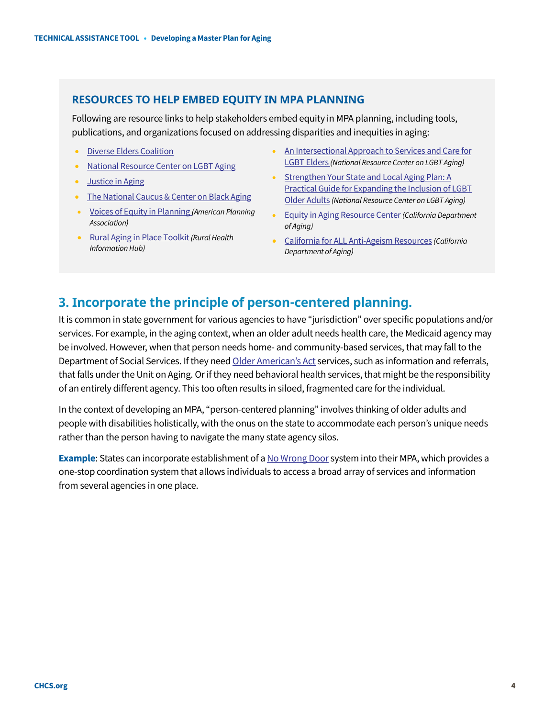### **RESOURCES TO HELP EMBED EQUITY IN MPA PLANNING**

Following are resource links to help stakeholders embed equity in MPA planning, including tools, publications, and organizations focused on addressing disparities and inequities in aging:

- [Diverse Elders Coalition](https://www.diverseelders.org/)
- [National Resource Center on LGBT Aging](https://www.lgbtagingcenter.org/resources/index.cfm?s=1)
- Justice in Aging
- The National Caucus & Center on Black Aging
- [Voices of Equity in Planning](https://www.planning.org/equity/voices-of-equity/) *(American Planning Association)*
- [Rural Aging in Place Toolkit](https://www.ruralhealthinfo.org/toolkits/aging)*(Rural Health Information Hub)*
- [An Intersectional Approach to Services and Care for](https://www.lgbtagingcenter.org/resources/pdfs/S21_Gene_40_2_Adams_94-100.pdf)  [LGBT Elders](https://www.lgbtagingcenter.org/resources/pdfs/S21_Gene_40_2_Adams_94-100.pdf) *(National Resource Center on LGBT Aging)*
- [Strengthen Your State and Local Aging Plan: A](https://www.lgbtagingcenter.org/resources/pdfs/Sage_StrengtheningGuidebook2017.pdf)  [Practical Guide for Expanding the Inclusion of LGBT](https://www.lgbtagingcenter.org/resources/pdfs/Sage_StrengtheningGuidebook2017.pdf)  [Older Adults](https://www.lgbtagingcenter.org/resources/pdfs/Sage_StrengtheningGuidebook2017.pdf) *(National Resource Center on LGBT Aging)*
- [Equity in Aging Resource Center](https://aging.ca.gov/equity_in_aging_resource_center/) *(California Department of Aging)*
- [California for ALL Anti-Ageism Resources](https://aging.ca.gov/California_For_All_Ages/) *(California Department of Aging)*

### **3. Incorporate the principle of person-centered planning.**

It is common in state government for various agencies to have "jurisdiction" over specific populations and/or services. For example, in the aging context, when an older adult needs health care, the Medicaid agency may be involved. However, when that person needs home- and community-based services, that may fall to the Department of Social Services. If they nee[d Older American's Act](https://acl.gov/about-acl/authorizing-statutes/older-americans-act) services, such as information and referrals, that falls under the Unit on Aging. Orif they need behavioral health services, that might be the responsibility of an entirely different agency. This too often results in siloed, fragmented care for the individual.

In the context of developing an MPA, "person-centered planning" involves thinking of older adults and people with disabilities holistically, with the onus on the state to accommodate each person's unique needs rather than the person having to navigate the many state agency silos.

**Example**: States can incorporate establishment of [a No Wrong Door](https://nwd.acl.gov/our-story.html) system into their MPA, which provides a one-stop coordination system that allows individuals to access a broad array of services and information from several agencies in one place.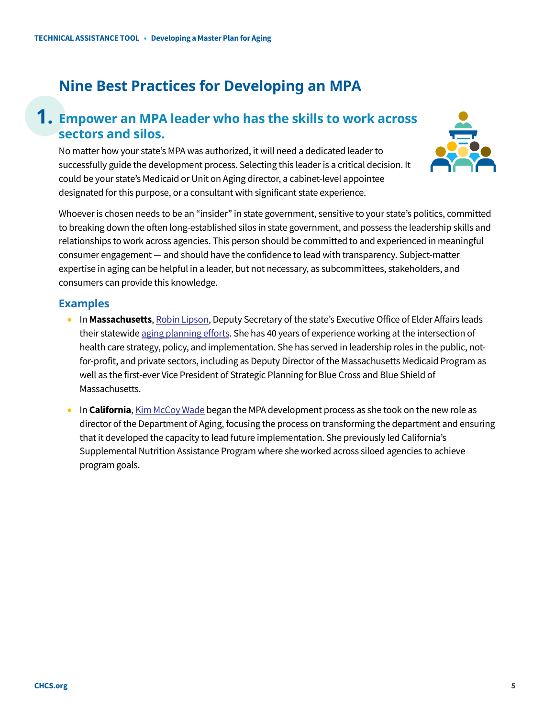### **Nine Best Practices for Developing an MPA**

### **1. Empower an MPA leader who has the skills to work across sectors and silos.**

No matter how your state's MPA was authorized, it will need a dedicated leader to successfully guide the development process. Selecting this leader is a critical decision. It could be your state's Medicaid or Unit on Aging director, a cabinet-level appointee designated for this purpose, or a consultant with significant state experience.



Whoever is chosen needs to be an "insider" in state government, sensitive to your state's politics, committed to breaking down the often long-established silos in state government, and possess the leadership skills and relationships to work across agencies. This person should be committed to and experienced in meaningful consumer engagement — and should have the confidence to lead with transparency. Subject-matter expertise in aging can be helpful in a leader, but not necessary, as subcommittees, stakeholders, and consumers can provide this knowledge.

- In **Massachusetts**[, Robin Lipson,](https://mcoafallconference2021.com/robin-lipson/) Deputy Secretary of the state's Executive Office of Elder Affairs leads their statewid[e aging planning efforts.](https://www.mass.gov/lists/age-friendly-massachusetts-action-plan) She has 40 years of experience working at the intersection of health care strategy, policy, and implementation. She has served in leadership roles in the public, notfor-profit, and private sectors, including as Deputy Director of the Massachusetts Medicaid Program as well as the first-ever Vice President of Strategic Planning for Blue Cross and Blue Shield of Massachusetts.
- In **California**[, Kim McCoy Wade](https://www.gov.ca.gov/2021/10/04/governor-newsom-announces-appointments-10-4-21/) began the MPA development process as she took on the new role as director of the Department of Aging, focusing the process on transforming the department and ensuring that it developed the capacity to lead future implementation. She previously led California's Supplemental Nutrition Assistance Program where she worked across siloed agencies to achieve program goals.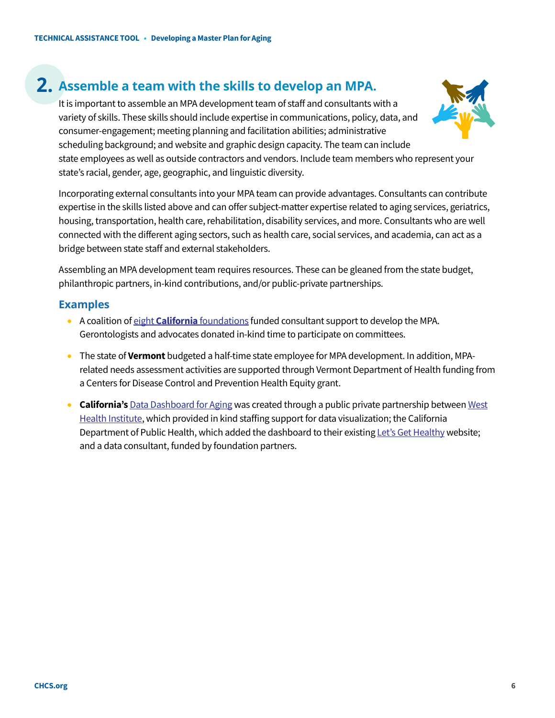### **2. Assemble a team with the skills to develop an MPA.**

It is important to assemble an MPA development team of staff and consultants with a variety of skills. These skills should include expertise in communications, policy, data, and consumer-engagement; meeting planning and facilitation abilities; administrative scheduling background; and website and graphic design capacity. The team can include state employees as well as outside contractors and vendors. Include team members who represent your state's racial, gender, age, geographic, and linguistic diversity.

Incorporating external consultants into your MPA team can provide advantages. Consultants can contribute expertise in the skills listed above and can offer subject-matter expertise related to aging services, geriatrics, housing, transportation, health care, rehabilitation, disability services, and more. Consultants who are well connected with the different aging sectors, such as health care, social services, and academia, can act as a bridge between state staff and external stakeholders.

Assembling an MPA development team requires resources. These can be gleaned from the state budget, philanthropic partners, in-kind contributions, and/or public-private partnerships.

- A coalition of eight **California** [foundations](https://s8637.pcdn.co/wp-content/uploads/2021/01/RELEASE-Philanthropic-MPA-Statement-FINAL.pdf) funded consultant support to develop the MPA. Gerontologists and advocates donated in-kind time to participate on committees.
- The state of **Vermont** budgeted a half-time state employee for MPA development. In addition, MPArelated needs assessment activities are supported through Vermont Department of Health funding from a Centers for Disease Control and Prevention Health Equity grant.
- **California's** [Data Dashboard for Aging](https://letsgethealthy.ca.gov/mpa-data-dashboard-for-aging/) was created through a public private partnership betwee[n West](https://www.westhealth.org/what-we-do/research/)  [Health Institute,](https://www.westhealth.org/what-we-do/research/) which provided in kind staffing support for data visualization; the California Department of Public Health, which added the dashboard to their existin[g Let's Get Healthy](https://letsgethealthy.ca.gov/) website; and a data consultant, funded by foundation partners.

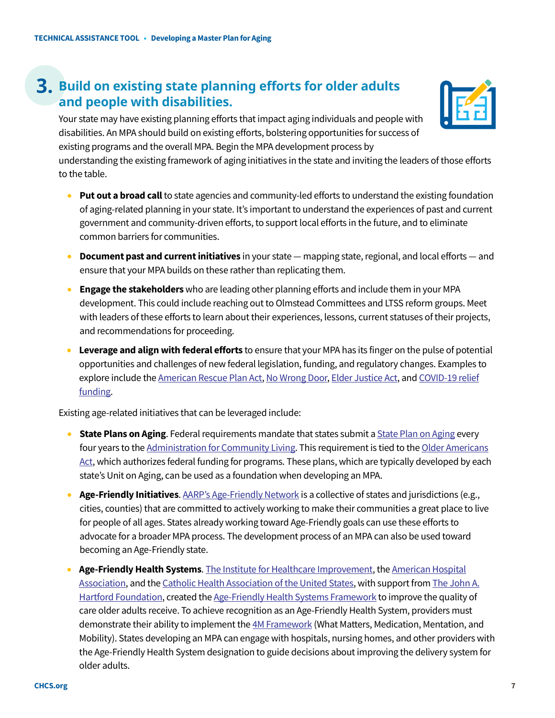### **3. Build on existing state planning efforts for older adults and people with disabilities.**

Your state may have existing planning efforts that impact aging individuals and people with disabilities. An MPA should build on existing efforts, bolstering opportunities for success of existing programs and the overall MPA. Begin the MPA development process by

understanding the existing framework of aging initiatives in the state and inviting the leaders of those efforts to the table.

- **Put out a broad call** to state agencies and community-led efforts to understand the existing foundation of aging-related planning in your state. It's important to understand the experiences of past and current government and community-driven efforts, to support local efforts in the future, and to eliminate common barriers for communities.
- **Document past and current initiatives** in your state mapping state, regional, and local efforts and ensure that your MPA builds on these rather than replicating them.
- **Engage the stakeholders** who are leading other planning efforts and include them in your MPA development. This could include reaching out to Olmstead Committees and LTSS reform groups. Meet with leaders of these efforts to learn about their experiences, lessons, current statuses of their projects, and recommendations for proceeding.
- **Leverage and align with federal efforts** to ensure that your MPA has its finger on the pulse of potential opportunities and challenges of new federal legislation, funding, and regulatory changes. Examples to explore include th[e American Rescue Plan Act,](https://www.cms.gov/newsroom/press-releases/cms-issues-guidance-american-rescue-plan-funding-medicaid-home-and-community-based-services) [No Wrong Door,](https://nwd.acl.gov/) [Elder Justice Act,](https://acl.gov/about-acl/elder-justice-act) an[d COVID-19 relief](https://home.treasury.gov/policy-issues/coronavirus)  [funding.](https://home.treasury.gov/policy-issues/coronavirus)

Existing age-related initiatives that can be leveraged include:

- **State Plans on Aging**. Federal requirements mandate that states submit a **State Plan on Aging every** four years to the [Administration for Community Living.](https://acl.gov/) This requirement is tied to the Older Americans [Act,](https://acl.gov/about-acl/authorizing-statutes/older-americans-act) which authorizes federal funding for programs. These plans, which are typically developed by each state's Unit on Aging, can be used as a foundation when developing an MPA.
- **Age-Friendly Initiatives**[. AARP's Age-Friendly Network](https://www.aarp.org/livable-communities/network-age-friendly-communities/) is a collective of states and jurisdictions (e.g., cities, counties) that are committed to actively working to make their communities a great place to live for people of all ages. States already working toward Age-Friendly goals can use these efforts to advocate for a broader MPA process. The development process of an MPA can also be used toward becoming an Age-Friendly state.
- **Age-Friendly Health Systems**. [The Institute for Healthcare Improvement,](http://www.ihi.org/) th[e American Hospital](https://www.aha.org/)  [Association,](https://www.aha.org/) and th[e Catholic Health Association of the United States,](https://www.chausa.org/) with support fro[m The John A.](https://www.johnahartford.org/)  [Hartford Foundation,](https://www.johnahartford.org/) created th[e Age-Friendly Health Systems](http://www.ihi.org/Engage/Initiatives/Age-Friendly-Health-Systems/Pages/default.aspx) Framework to improve the quality of care older adults receive. To achieve recognition as an Age-Friendly Health System, providers must demonstrate their ability to implement th[e 4M Framework](http://www.ihi.org/Engage/Initiatives/Age-Friendly-Health-Systems/Documents/AgeFriendly_4MsBySetting_FullGraphic.pdf) (What Matters, Medication, Mentation, and Mobility). States developing an MPA can engage with hospitals, nursing homes, and other providers with the Age-Friendly Health System designation to guide decisions about improving the delivery system for older adults.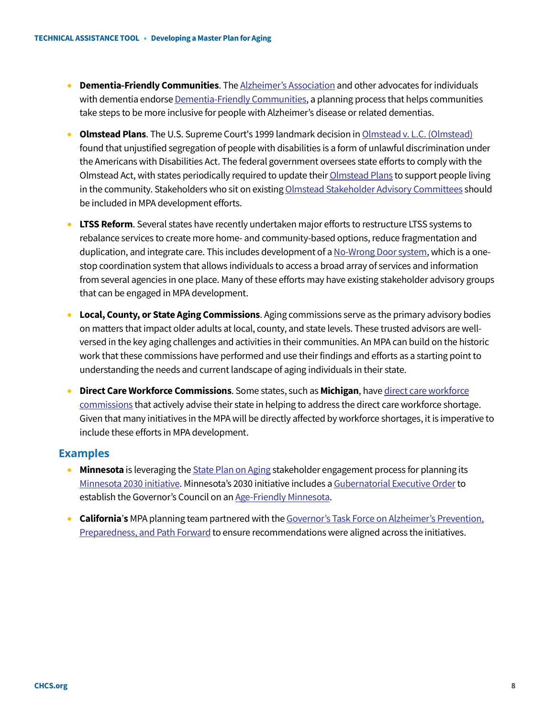- **Dementia-Friendly Communities**. Th[e Alzheimer's Association](https://www.alz.org/) and other advocates for individuals with dementia endors[e Dementia-Friendly Communities,](https://www.alz.org/media/Documents/spotlight-dementia-friendly-communities.pdf) a planning process that helps communities take steps to be more inclusive for people with Alzheimer's disease or related dementias.
- **Olmstead Plans**. The U.S. Supreme Court's 1999 landmark decision i[n Olmstead v. L.C. \(Olmstead\)](https://www.hhs.gov/civil-rights/for-individuals/special-topics/community-living-and-olmstead/index.html) found that unjustified segregation of people with disabilities is a form of unlawful discrimination under the Americans with Disabilities Act. The federal government oversees state efforts to comply with the Olmstead Act, with states periodically required to update their *Olmstead Plans* to support people living in the community. Stakeholders who sit on existin[g Olmstead Stakeholder Advisory Committees](https://www.mass.gov/service-details/olmstead-planning-committee-advisory-council) should be included in MPA development efforts.
- **LTSS Reform**. Several states have recently undertaken major efforts to restructure LTSS systems to rebalance services to create more home- and community-based options, reduce fragmentation and duplication, and integrate care. This includes development of [a No-Wrong Door system,](https://nwd.acl.gov/) which is a onestop coordination system that allows individuals to access a broad array of services and information from several agencies in one place. Many of these efforts may have existing stakeholder advisory groups that can be engaged in MPA development.
- **Local, County, or State Aging Commissions**. Aging commissions serve as the primary advisory bodies on matters that impact older adults at local, county, and state levels. These trusted advisors are wellversed in the key aging challenges and activities in their communities. An MPA can build on the historic work that these commissions have performed and use their findings and efforts as a starting point to understanding the needs and current landscape of aging individuals in their state.
- **Direct Care Workforce Commissions**. Some states, such as Michigan, have direct care workforce [commissions](http://www.impartalliance.org/) that actively advise their state in helping to address the direct care workforce shortage. Given that many initiatives in the MPA will be directly affected by workforce shortages, it is imperative to include these efforts in MPA development.

- **Minnesota** is leveraging th[e State Plan on Aging](http://www.advancingstates.org/sites/default/files/Minnesota_MBA_State_plan_2019_2022_Public_Comment.pdf) stakeholder engagement process for planning its [Minnesota 2030 initiative.](https://mn.gov/dhs/mn2030/background/) Minnesota's 2030 initiative includes a Gubernatorial Executive Order to establish the Governor's Council on a[n Age-Friendly Minnesota.](https://mn.gov/dhs/age-friendly-mn/)
- **California's** MPA planning team partnered with the Governor's Task Force on Alzheimer's Prevention, [Preparedness, and Path Forward](http://caalztaskforce.org/wp-content/uploads/2020/11/2020-Alzheimers-Report_201118.pdf) to ensure recommendations were aligned across the initiatives.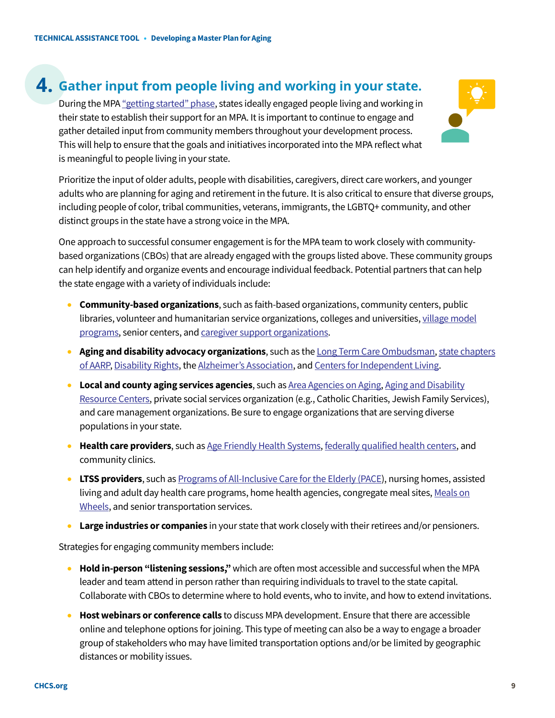### **4. Gather input from people living and working in your state.**

During the MPA ["getting started" phase,](https://www.chcs.org/resource/getting-started-with-a-master-plan-for-aging/) states ideally engaged people living and working in their state to establish their support for an MPA. It is important to continue to engage and gather detailed input from community members throughout your development process. This will help to ensure that the goals and initiatives incorporated into the MPA reflect what is meaningful to people living in your state.



Prioritize the input of older adults, people with disabilities, caregivers, direct care workers, and younger adults who are planning for aging and retirement in the future. It is also critical to ensure that diverse groups, including people of color, tribal communities, veterans, immigrants, the LGBTQ+ community, and other distinct groups in the state have a strong voice in the MPA.

One approach to successful consumer engagement is for the MPA team to work closely with communitybased organizations (CBOs) that are already engaged with the groups listed above. These community groups can help identify and organize events and encourage individual feedback. Potential partners that can help the state engage with a variety of individuals include:

- **Community-based organizations**, such as faith-based organizations, community centers, public libraries, volunteer and humanitarian service organizations, colleges and universities, village model [programs,](https://www.vtvnetwork.org/) senior centers, an[d caregiver support organizations.](https://www.caregiver.org/)
- **Aging and disability advocacy organizations**, such as th[e Long Term Care Ombudsman,](https://acl.gov/programs/Protecting-Rights-and-Preventing-Abuse/Long-term-Care-Ombudsman-Program) [state chapters](https://www.aarp.org/states/)  [of AARP,](https://www.aarp.org/states/) [Disability Rights,](https://www.ndrn.org/) th[e Alzheimer's Association,](https://www.alz.org/local_resources/find_your_local_chapter) an[d Centers for Independent Living.](https://acl.gov/programs/aging-and-disability-networks/centers-independent-living)
- **Local and county aging services agencies**, such a[s Area Agencies on Aging,](https://acl.gov/programs/aging-and-disability-networks/area-agencies-aging) [Aging and Disability](https://acl.gov/programs/aging-and-disability-networks/aging-and-disability-resource-centers)  [Resource Centers,](https://acl.gov/programs/aging-and-disability-networks/aging-and-disability-resource-centers) private social services organization (e.g., Catholic Charities, Jewish Family Services), and care management organizations. Be sure to engage organizations that are serving diverse populations in your state.
- **Health care providers**, such a[s Age Friendly Health Systems,](http://www.ihi.org/Engage/Initiatives/Age-Friendly-Health-Systems/Pages/default.aspx) [federally qualified health centers,](https://www.hrsa.gov/opa/eligibility-and-registration/health-centers/fqhc/index.html) and community clinics.
- **LTSS providers**, such a[s Programs of All-Inclusive Care for the Elderly \(PACE\)](https://www.cms.gov/Medicare-Medicaid-Coordination/Medicare-and-Medicaid-Coordination/Medicare-Medicaid-Coordination-Office/PACE/PACE), nursing homes, assisted living and adult day health care programs, home health agencies, congregate meal sites, Meals on [Wheels,](https://www.mealsonwheelsamerica.org/) and senior transportation services.
- **Large industries or companies** in your state that work closely with their retirees and/or pensioners.

Strategies for engaging community members include:

- **Hold in-person "listening sessions,"** which are often most accessible and successful when the MPA leader and team attend in person rather than requiring individuals to travel to the state capital. Collaborate with CBOs to determine where to hold events, who to invite, and how to extend invitations.
- **Host webinars or conference calls** to discuss MPA development. Ensure that there are accessible online and telephone options for joining. This type of meeting can also be a way to engage a broader group of stakeholders who may have limited transportation options and/or be limited by geographic distances or mobility issues.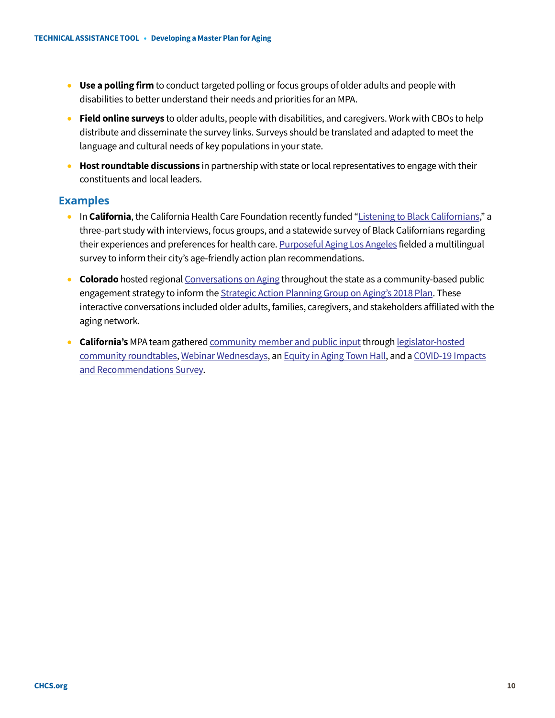- **Use a polling firm** to conduct targeted polling or focus groups of older adults and people with disabilities to better understand their needs and priorities for an MPA.
- **Field online surveys** to older adults, people with disabilities, and caregivers. Work with CBOs to help distribute and disseminate the survey links. Surveys should be translated and adapted to meet the language and cultural needs of key populations in your state.
- **Host roundtable discussions** in partnership with state or local representatives to engage with their constituents and local leaders.

- In **California**, the California Health Care Foundation recently funded ["Listening to Black Californians,"](https://www.chcf.org/program/listening-to-black-californians/) a three-part study with interviews, focus groups, and a statewide survey of Black Californians regarding their experiences and preferences for health care[. Purposeful Aging](https://www.purposefulagingla.com/survey) Los Angeles fielded a multilingual survey to inform their city's age-friendly action plan recommendations.
- **Colorado** hosted regiona[l Conversations on Aging](https://agingstrategy.colorado.gov/meetings/regional-meetings-conversations-on-aging) throughout the state as a community-based public engagement strategy to inform the **Strategic Action Planning Group on Aging's 2018 Plan**. These interactive conversations included older adults, families, caregivers, and stakeholders affiliated with the aging network.
- **California's** MPA team gathere[d community member and public input t](https://mpa.aging.ca.gov/StakeholderProcess)hrough [legislator-hosted](https://www.chhs.ca.gov/home/master-plan-for-aging/master-plan-for-aging-engagement-activities/)  [community roundtables,](https://www.chhs.ca.gov/home/master-plan-for-aging/master-plan-for-aging-engagement-activities/) [Webinar Wednesdays,](https://www.youtube.com/playlist?list=PLXexWQOeFtkZYXgQ_AiUVpNcfyhP15DN5) a[n Equity in Aging Town Hall,](https://www.youtube.com/watch?v=atXLqOZsDhA) and a [COVID-19 Impacts](https://docs.google.com/forms/d/e/1FAIpQLSetcGp3olKCWwv7m7COeqKoEc8siV9aKyc0B9PRdy8r0-QvEg/viewform?fbzx=228670818588429799)  [and Recommendations Survey.](https://docs.google.com/forms/d/e/1FAIpQLSetcGp3olKCWwv7m7COeqKoEc8siV9aKyc0B9PRdy8r0-QvEg/viewform?fbzx=228670818588429799)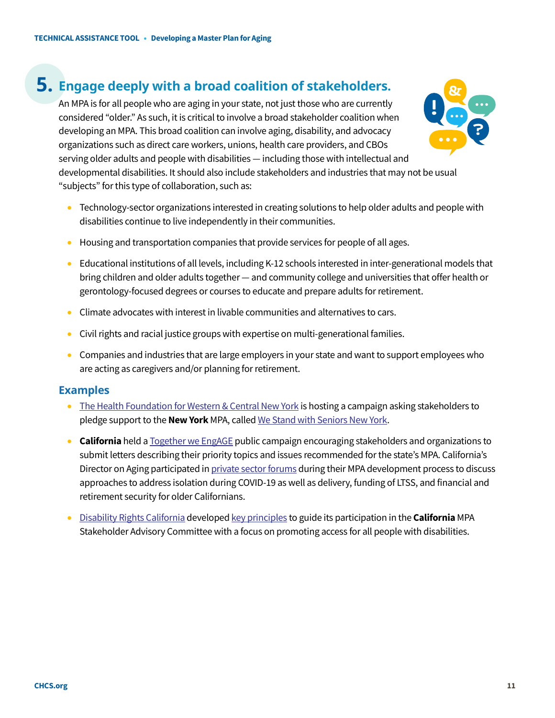### **5. Engage deeply with a broad coalition of stakeholders.**

An MPA is for all people who are aging in your state, not just those who are currently considered "older." As such, it is critical to involve a broad stakeholder coalition when developing an MPA. This broad coalition can involve aging, disability, and advocacy organizations such as direct care workers, unions, health care providers, and CBOs serving older adults and people with disabilities — including those with intellectual and developmental disabilities. It should also include stakeholders and industries that may not be usual "subjects" for this type of collaboration, such as:



- Technology-sector organizations interested in creating solutions to help older adults and people with disabilities continue to live independently in their communities.
- Housing and transportation companies that provide services for people of all ages.
- Educational institutions of all levels, including K-12 schools interested in inter-generational models that bring children and older adults together — and community college and universities that offer health or gerontology-focused degrees or courses to educate and prepare adults for retirement.
- Climate advocates with interest in livable communities and alternatives to cars.
- Civil rights and racial justice groups with expertise on multi-generational families.
- Companies and industries that are large employers in your state and want to support employees who are acting as caregivers and/or planning for retirement.

- [The Health Foundation for Western & Central New York](https://hfwcny.org/) is hosting a campaign asking stakeholders to pledge support to the **New York** MPA, calle[d We Stand with Seniors New York.](https://hfwcny.org/what-we-do/older-adults/mpa/)
- **California** held [a Together we EngAGE](https://www.engageca.org/) public campaign encouraging stakeholders and organizations to submit letters describing their priority topics and issues recommended for the state's MPA. California's Director on Aging participated i[n private sector forums](https://mpa.aging.ca.gov/StakeholderProcess/) during their MPA development process to discuss approaches to address isolation during COVID-19 as well as delivery, funding of LTSS, and financial and retirement security for older Californians.
- [Disability Rights California](https://www.disabilityrightsca.org/) develope[d key principles](https://www.disabilityrightsca.org/legislation/principles-master-plan-for-aging) to guide its participation in the **California** MPA Stakeholder Advisory Committee with a focus on promoting access for all people with disabilities.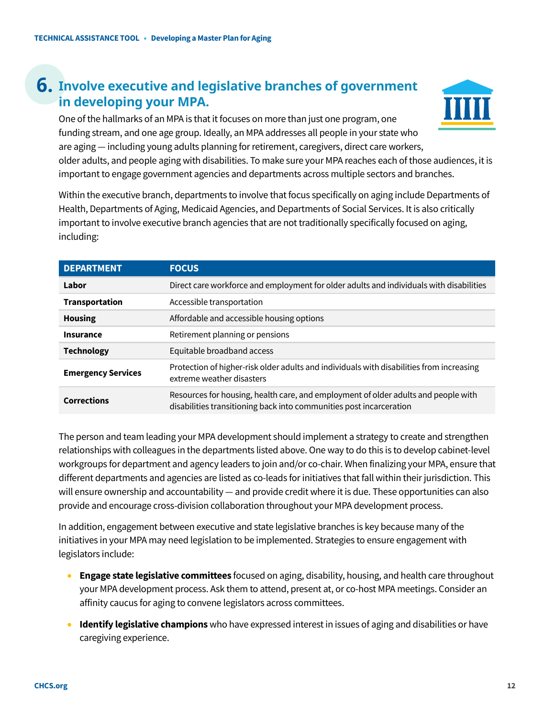### **6. Involve executive and legislative branches of government in developing your MPA.**

One of the hallmarks of an MPA is that it focuses on more than just one program, one funding stream, and one age group. Ideally, an MPA addresses all people in your state who are aging — including young adults planning for retirement, caregivers, direct care workers, older adults, and people aging with disabilities. To make sure your MPA reaches each of those audiences, it is important to engage government agencies and departments across multiple sectors and branches.

Within the executive branch, departments to involve that focus specifically on aging include Departments of Health, Departments of Aging, Medicaid Agencies, and Departments of Social Services. It is also critically important to involve executive branch agencies that are not traditionally specifically focused on aging, including:

| <b>DEPARTMENT</b>         | <b>FOCUS</b>                                                                                                                                              |
|---------------------------|-----------------------------------------------------------------------------------------------------------------------------------------------------------|
| Labor                     | Direct care workforce and employment for older adults and individuals with disabilities                                                                   |
| <b>Transportation</b>     | Accessible transportation                                                                                                                                 |
| <b>Housing</b>            | Affordable and accessible housing options                                                                                                                 |
| <b>Insurance</b>          | Retirement planning or pensions                                                                                                                           |
| <b>Technology</b>         | Equitable broadband access                                                                                                                                |
| <b>Emergency Services</b> | Protection of higher-risk older adults and individuals with disabilities from increasing<br>extreme weather disasters                                     |
| <b>Corrections</b>        | Resources for housing, health care, and employment of older adults and people with<br>disabilities transitioning back into communities post incarceration |

The person and team leading your MPA development should implement a strategy to create and strengthen relationships with colleagues in the departments listed above. One way to do this is to develop cabinet-level workgroups for department and agency leaders to join and/or co-chair. When finalizing your MPA, ensure that different departments and agencies are listed as co-leads for initiatives that fall within their jurisdiction. This will ensure ownership and accountability — and provide credit where it is due. These opportunities can also provide and encourage cross-division collaboration throughout your MPA development process.

In addition, engagement between executive and state legislative branches is key because many of the initiatives in your MPA may need legislation to be implemented. Strategies to ensure engagement with legislators include:

- **Engage state legislative committees** focused on aging, disability, housing, and health care throughout your MPA development process. Ask them to attend, present at, or co-host MPA meetings. Consider an affinity caucus for aging to convene legislators across committees.
- **Identify legislative champions** who have expressed interest in issues of aging and disabilities or have caregiving experience.

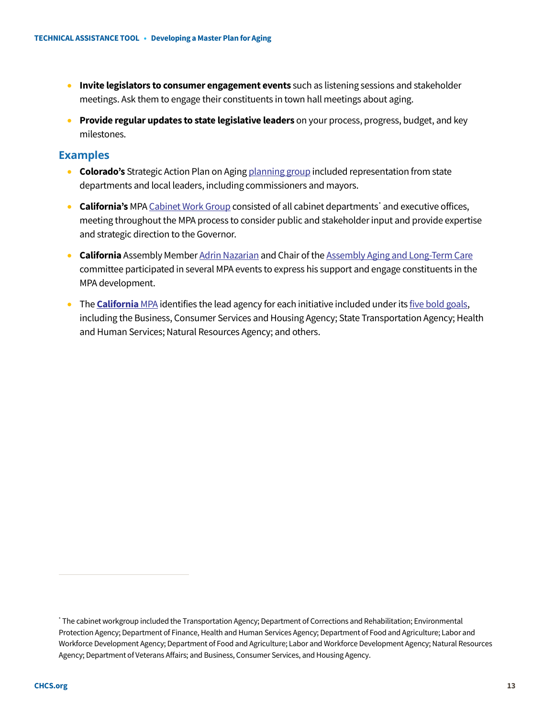- **Invite legislators to consumer engagement events** such as listening sessions and stakeholder meetings. Ask them to engage their constituents in town hall meetings about aging.
- **Provide regular updates to state legislative leaders** on your process, progress, budget, and key milestones.

- **Colorado's** Strategic Action Plan on Agin[g planning group](https://agingstrategy.colorado.gov/about/planning-group-members) included representation from state departments and local leaders, including commissioners and mayors.
- **California's** MP[A Cabinet Work Group c](https://mpa.aging.ca.gov/StakeholderProcess/)onsisted of all cabinet departments<sup>[\\*](#page-12-0)</sup> and executive offices, meeting throughout the MPA process to consider public and stakeholder input and provide expertise and strategic direction to the Governor.
- **California** Assembly Membe[r Adrin Nazarian](https://a46.asmdc.org/) and Chair of th[e Assembly Aging and Long-Term Care](https://altc.assembly.ca.gov/content/welcome-committee-aging-and-long-term-care) committee participated in several MPA events to express his support and engage constituents in the MPA development.
- The **[California](https://www.aging.ca.gov/download.ashx?lE0rcNUV0zYXf9JtT7jkAg%3d%3d)** MPA identifies the lead agency for each initiative included under it[s five bold goals,](https://mpa.aging.ca.gov/Goals/1) including the Business, Consumer Services and Housing Agency; State Transportation Agency; Health and Human Services; Natural Resources Agency; and others.

<span id="page-12-0"></span><sup>\*</sup> The cabinet workgroup included the Transportation Agency; Department of Corrections and Rehabilitation; Environmental Protection Agency; Department of Finance, Health and Human Services Agency; Department of Food and Agriculture; Labor and Workforce Development Agency; Department of Food and Agriculture; Labor and Workforce Development Agency; Natural Resources Agency; Department of Veterans Affairs; and Business, Consumer Services, and Housing Agency.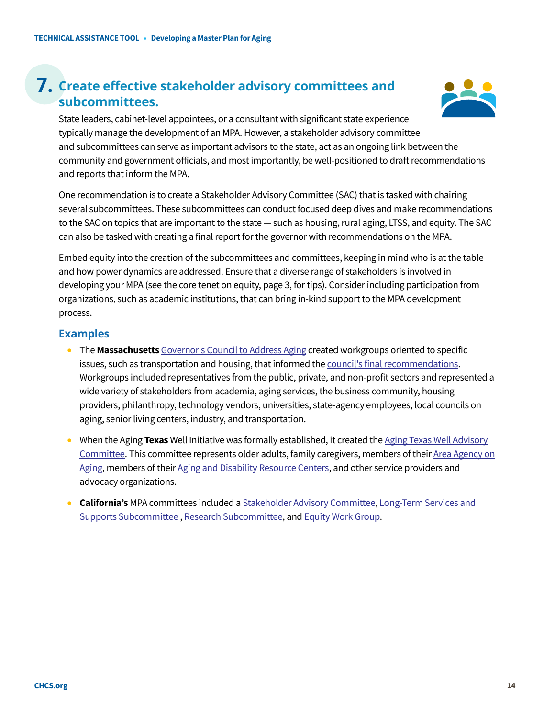### **7. Create effective stakeholder advisory committees and subcommittees.**



State leaders, cabinet-level appointees, or a consultant with significant state experience typically manage the development of an MPA. However, a stakeholder advisory committee and subcommittees can serve as important advisors to the state, act as an ongoing link between the community and government officials, and most importantly, be well-positioned to draft recommendations and reports that inform the MPA.

One recommendation is to create a Stakeholder Advisory Committee (SAC) that is tasked with chairing several subcommittees. These subcommittees can conduct focused deep dives and make recommendations to the SAC on topics that are important to the state — such as housing, rural aging, LTSS, and equity. The SAC can also be tasked with creating a final report for the governor with recommendations on the MPA.

Embed equity into the creation of the subcommittees and committees, keeping in mind who is at the table and how power dynamics are addressed. Ensure that a diverse range of stakeholders is involved in developing your MPA (see the core tenet on equity, page 3, for tips). Consider including participation from organizations, such as academic institutions, that can bring in-kind support to the MPA development process.

- The **Massachusetts** [Governor's Council to Address Aging](https://www.mass.gov/lists/governors-council-to-address-aging-in-massachusetts-reports-and-resources) created workgroups oriented to specific issues, such as transportation and housing, that informed the [council's final recommendations.](https://www.mass.gov/doc/governors-council-to-address-aging-in-massachusetts-blueprint-recommendations-december-2018/download) Workgroups included representatives from the public, private, and non-profit sectors and represented a wide variety of stakeholders from academia, aging services, the business community, housing providers, philanthropy, technology vendors, universities, state-agency employees, local councils on aging, senior living centers, industry, and transportation.
- When the Aging **Texas** Well Initiative was formally established, it created th[e Aging Texas Well Advisory](https://www.hhs.texas.gov/about-hhs/leadership/advisory-committees/aging-texas-well-advisory-committee)  [Committee.](https://www.hhs.texas.gov/about-hhs/leadership/advisory-committees/aging-texas-well-advisory-committee) This committee represents older adults, family caregivers, members of thei[r Area Agency on](https://www.hhs.texas.gov/providers/long-term-care-providers/area-agencies-aging-aaa)  [Aging,](https://www.hhs.texas.gov/providers/long-term-care-providers/area-agencies-aging-aaa) members of thei[r Aging and Disability Resource Centers,](https://www.hhs.texas.gov/services/aging/long-term-care/aging-disability-resource-center) and other service providers and advocacy organizations.
- **California's** MPA committees included a [Stakeholder Advisory](https://www.chhs.ca.gov/master-plan-for-aging-stakeholder-advisory-committees-page/) Committee[, Long-Term Services and](https://www.chhs.ca.gov/home/master-plan-for-aging/subcommittees/ltss/)  [Supports Subcommittee](https://www.chhs.ca.gov/home/master-plan-for-aging/subcommittees/ltss/) [, Research Subcommittee,](https://www.chhs.ca.gov/home/master-plan-for-aging/subcommittees/research/) and [Equity Work Group.](https://www.chhs.ca.gov/home/master-plan-for-aging/subcommittees/equity-work-group/)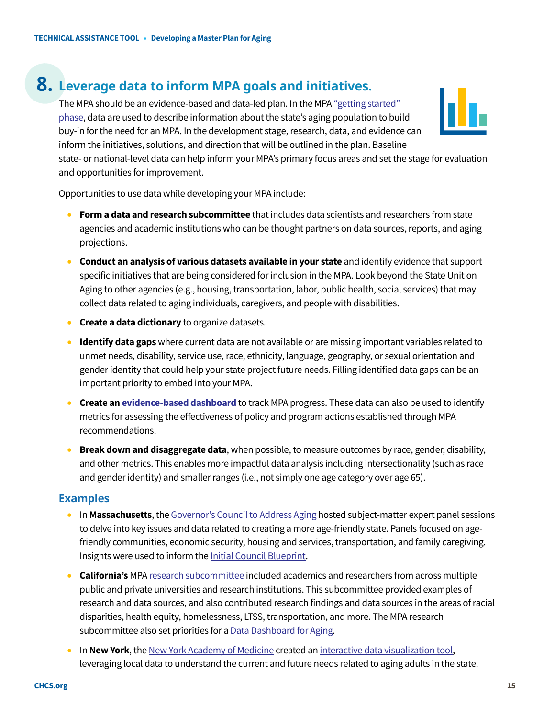### **8. Leverage data to inform MPA goals and initiatives.**

The MPA should be an evidence-based and data-led plan. In the MPA ["getting started"](https://www.chcs.org/resource/getting-started-with-a-master-plan-for-aging/)  [phase,](https://www.chcs.org/resource/getting-started-with-a-master-plan-for-aging/) data are used to describe information about the state's aging population to build buy-in for the need for an MPA. In the development stage, research, data, and evidence can inform the initiatives, solutions, and direction that will be outlined in the plan. Baseline



state- or national-level data can help inform your MPA's primary focus areas and set the stage for evaluation and opportunities for improvement.

Opportunities to use data while developing your MPA include:

- **Form a data and research subcommittee** that includes data scientists and researchers from state agencies and academic institutions who can be thought partners on data sources, reports, and aging projections.
- **Conduct an analysis of various datasets available in your state** and identify evidence that support specific initiatives that are being considered for inclusion in the MPA. Look beyond the State Unit on Aging to other agencies (e.g., housing, transportation, labor, public health, social services) that may collect data related to aging individuals, caregivers, and people with disabilities.
- **Create a data dictionary** to organize datasets.
- **Identify data gaps** where current data are not available or are missing important variables related to unmet needs, disability, service use, race, ethnicity, language, geography, or sexual orientation and gender identity that could help your state project future needs. Filling identified data gaps can be an important priority to embed into your MPA.
- **Create a[n evidence-based dashboard](https://mpa.aging.ca.gov/DashBoard)** to track MPA progress. These data can also be used to identify metrics for assessing the effectiveness of policy and program actions established through MPA recommendations.
- **Break down and disaggregate data**, when possible, to measure outcomes by race, gender, disability, and other metrics. This enables more impactful data analysis including intersectionality (such as race and gender identity) and smaller ranges (i.e., not simply one age category over age 65).

- In **Massachusetts**, the [Governor's Council to Address Aging](https://www.mass.gov/orgs/governors-council-to-address-aging-in-massachusetts) hosted subject-matter expert panel sessions to delve into key issues and data related to creating a more age-friendly state. Panels focused on agefriendly communities, economic security, housing and services, transportation, and family caregiving. Insights were used to inform th[e Initial Council Blueprint.](https://www.mass.gov/doc/initial-blueprint-recommendations-april-2018/download)
- **California's** MP[A research subcommittee](https://www.chhs.ca.gov/home/master-plan-for-aging/subcommittees/research/) included academics and researchers from across multiple public and private universities and research institutions. This subcommittee provided examples of research and data sources, and also contributed research findings and data sources in the areas of racial disparities, health equity, homelessness, LTSS, transportation, and more. The MPA research subcommittee also set priorities for [a Data Dashboard for Aging.](https://mpa.aging.ca.gov/DashBoard)
- In **New York**, th[e New York Academy of Medicine](https://www.nyam.org/) created a[n interactive data visualization tool,](http://imagenyc.nyam.org/) leveraging local data to understand the current and future needs related to aging adults in the state.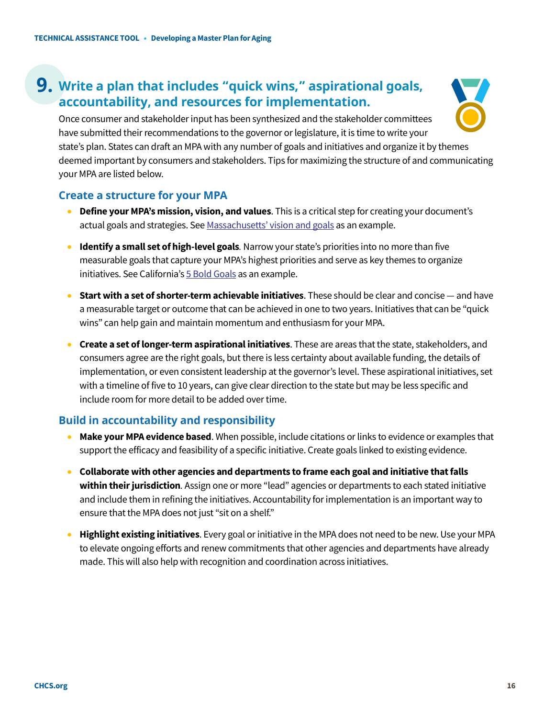### **9. Write a plan that includes "quick wins," aspirational goals, accountability, and resources for implementation.**



Once consumer and stakeholder input has been synthesized and the stakeholder committees have submitted their recommendations to the governor or legislature, it is time to write your state's plan. States can draft an MPA with any number of goals and initiatives and organize it by themes deemed important by consumers and stakeholders. Tips for maximizing the structure of and communicating your MPA are listed below.

#### **Create a structure for your MPA**

- **Define your MPA's mission, vision, and values**. This is a critical step for creating your document's actual goals and strategies. Se[e Massachusetts' vision and goals](https://www.mass.gov/doc/age-friendly-ma-slide-deck-january-2019/download) as an example.
- **Identify a small set of high-level goals**. Narrow your state's priorities into no more than five measurable goals that capture your MPA's highest priorities and serve as key themes to organize initiatives. See California'[s 5 Bold Goals](https://mpa.aging.ca.gov/Goals/1/) as an example.
- **Start with a set of shorter-term achievable initiatives**. These should be clear and concise and have a measurable target or outcome that can be achieved in one to two years. Initiatives that can be "quick wins" can help gain and maintain momentum and enthusiasm for your MPA.
- **Create a set of longer-term aspirational initiatives**. These are areas that the state, stakeholders, and consumers agree are the right goals, but there is less certainty about available funding, the details of implementation, or even consistent leadership at the governor's level. These aspirational initiatives, set with a timeline of five to 10 years, can give clear direction to the state but may be less specific and include room for more detail to be added over time.

#### **Build in accountability and responsibility**

- **Make your MPA evidence based**. When possible, include citations or links to evidence or examples that support the efficacy and feasibility of a specific initiative. Create goals linked to existing evidence.
- **Collaborate with other agencies and departments to frame each goal and initiative that falls within their jurisdiction***.* Assign one or more "lead" agencies or departments to each stated initiative and include them in refining the initiatives. Accountability for implementation is an important way to ensure that the MPA does not just "sit on a shelf."
- **Highlight existing initiatives**. Every goal or initiative in the MPA does not need to be new. Use your MPA to elevate ongoing efforts and renew commitments that other agencies and departments have already made. This will also help with recognition and coordination across initiatives.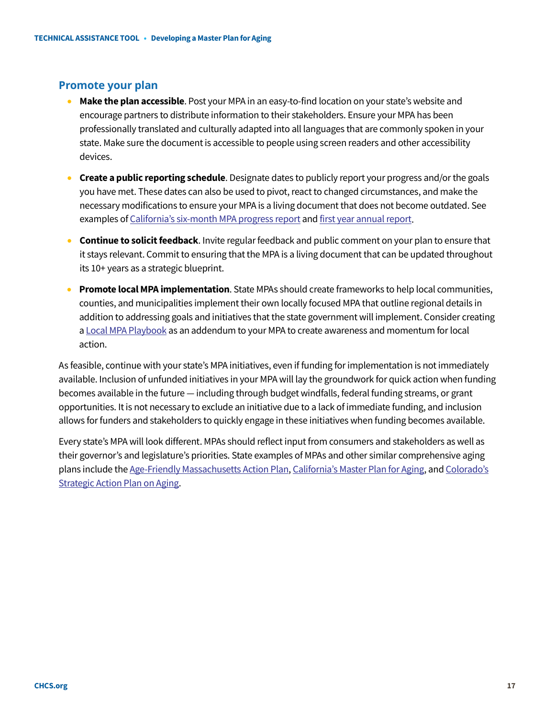### **Promote your plan**

- **Make the plan accessible**. Post your MPA in an easy-to-find location on your state's website and encourage partners to distribute information to their stakeholders. Ensure your MPA has been professionally translated and culturally adapted into all languages that are commonly spoken in your state. Make sure the document is accessible to people using screen readers and other accessibility devices.
- **Create a public reporting schedule**. Designate dates to publicly report your progress and/or the goals you have met. These dates can also be used to pivot, react to changed circumstances, and make the necessary modifications to ensure your MPA is a living document that does not become outdated. See examples o[f California's six-month MPA progress report](https://aging.ca.gov/download.ashx?lE0rcNUV0zais6DigSXF6w%3D%3D) and [first year annual report.](https://www.aging.ca.gov/download.ashx?lE0rcNUV0zbyxTsIDhE8hg%3d%3d)
- **Continue to solicit feedback**. Invite regular feedback and public comment on your plan to ensure that it stays relevant. Commit to ensuring that the MPA is a living document that can be updated throughout its 10+ years as a strategic blueprint.
- **Promote local MPA implementation**. State MPAs should create frameworks to help local communities, counties, and municipalities implement their own locally focused MPA that outline regional details in addition to addressing goals and initiatives that the state government will implement. Consider creating [a Local MPA Playbook](https://mpa.aging.ca.gov/LocalPlaybook/) as an addendum to your MPA to create awareness and momentum for local action.

As feasible, continue with your state's MPA initiatives, even if funding for implementation is not immediately available. Inclusion of unfunded initiatives in your MPA will lay the groundwork for quick action when funding becomes available in the future — including through budget windfalls, federal funding streams, or grant opportunities. It is not necessary to exclude an initiative due to a lack of immediate funding, and inclusion allows for funders and stakeholders to quickly engage in these initiatives when funding becomes available.

Every state's MPA will look different. MPAs should reflect input from consumers and stakeholders as well as their governor's and legislature's priorities. State examples of MPAs and other similar comprehensive aging plans include th[e Age-Friendly Massachusetts Action Plan,](https://www.mass.gov/lists/age-friendly-massachusetts-action-plan#:%7E:text=The%20Age%2DFriendly%20Massachusetts%20Action,become%20an%20age%2Dfriendly%20state.) [California's Master Plan for Aging,](https://mpa.aging.ca.gov/) and [Colorado's](https://agingstrategy.colorado.gov/2020-strategic-action-plan-on-aging)  [Strategic Action Plan on Aging.](https://agingstrategy.colorado.gov/2020-strategic-action-plan-on-aging)